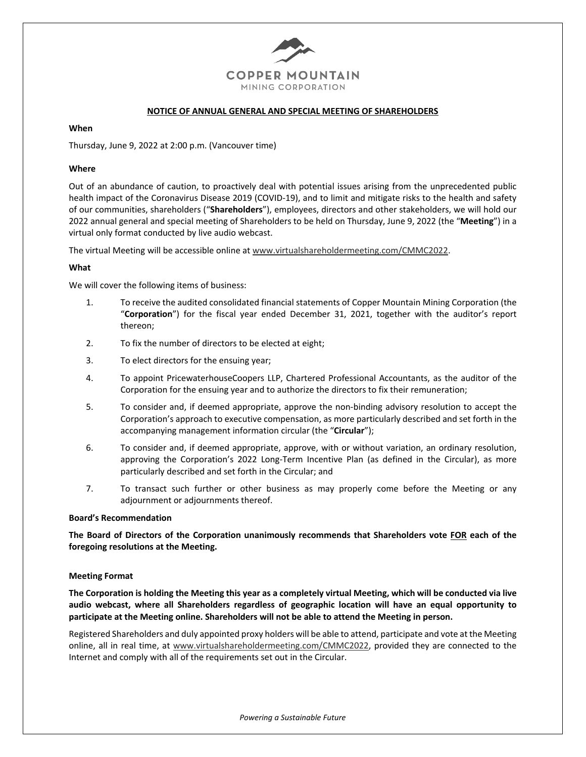

## **NOTICE OF ANNUAL GENERAL AND SPECIAL MEETING OF SHAREHOLDERS**

#### **When**

Thursday, June 9, 2022 at 2:00 p.m. (Vancouver time)

#### **Where**

Out of an abundance of caution, to proactively deal with potential issues arising from the unprecedented public health impact of the Coronavirus Disease 2019 (COVID-19), and to limit and mitigate risks to the health and safety of our communities, shareholders ("**Shareholders**"), employees, directors and other stakeholders, we will hold our 2022 annual general and special meeting of Shareholders to be held on Thursday, June 9, 2022 (the "**Meeting**") in a virtual only format conducted by live audio webcast.

The virtual Meeting will be accessible online at www.virtualshareholdermeeting.com/CMMC2022.

#### **What**

We will cover the following items of business:

- 1. To receive the audited consolidated financial statements of Copper Mountain Mining Corporation (the "**Corporation**") for the fiscal year ended December 31, 2021, together with the auditor's report thereon;
- 2. To fix the number of directors to be elected at eight;
- 3. To elect directors for the ensuing year;
- 4. To appoint PricewaterhouseCoopers LLP, Chartered Professional Accountants, as the auditor of the Corporation for the ensuing year and to authorize the directors to fix their remuneration;
- 5. To consider and, if deemed appropriate, approve the non-binding advisory resolution to accept the Corporation's approach to executive compensation, as more particularly described and set forth in the accompanying management information circular (the "**Circular**");
- 6. To consider and, if deemed appropriate, approve, with or without variation, an ordinary resolution, approving the Corporation's 2022 Long-Term Incentive Plan (as defined in the Circular), as more particularly described and set forth in the Circular; and
- 7. To transact such further or other business as may properly come before the Meeting or any adjournment or adjournments thereof.

## **Board's Recommendation**

**The Board of Directors of the Corporation unanimously recommends that Shareholders vote FOR each of the foregoing resolutions at the Meeting.**

## **Meeting Format**

**The Corporation is holding the Meeting this year as a completely virtual Meeting, which will be conducted via live audio webcast, where all Shareholders regardless of geographic location will have an equal opportunity to participate at the Meeting online. Shareholders will not be able to attend the Meeting in person.**

Registered Shareholders and duly appointed proxy holders will be able to attend, participate and vote at the Meeting online, all in real time, at www.virtualshareholdermeeting.com/CMMC2022, provided they are connected to the Internet and comply with all of the requirements set out in the Circular.

*Powering a Sustainable Future*